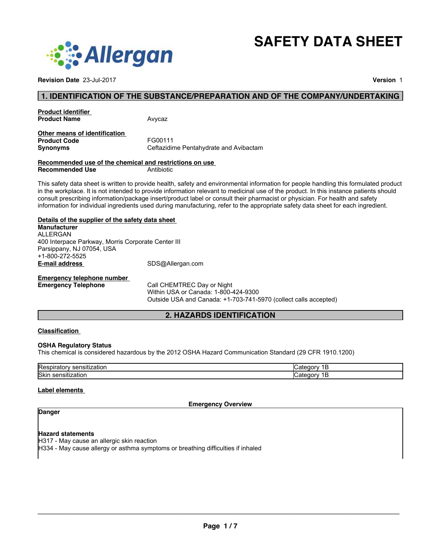

**Revision Date** 23-Jul-2017 **Version** 1

**SAFETY DATA SHEET**

#### **1. IDENTIFICATION OF THE SUBSTANCE/PREPARATION AND OF THE COMPANY/UNDERTAKING**

| Avycaz |
|--------|
|        |

#### **Other means of identification Product Code** FG00111 **Synonyms** Ceftazidime Pentahydrate and Avibactam

#### **Recommended use of the chemical and restrictions on use Recommended Use**

This safety data sheet is written to provide health, safety and environmental information for people handling this formulated product in the workplace. It is not intended to provide information relevant to medicinal use of the product. In this instance patients should consult prescribing information/package insert/product label or consult their pharmacist or physician. For health and safety information for individual ingredients used during manufacturing, refer to the appropriate safety data sheet for each ingredient.

#### **Details of the supplier of the safety data sheet**

**E-mail address** SDS@Allergan.com **Manufacturer** ALLERGAN 400 Interpace Parkway, Morris Corporate Center III Parsippany, NJ 07054, USA +1-800-272-5525

# **Emergency telephone number**

**Call CHEMTREC Day or Night** Within USA or Canada: 1-800-424-9300 Outside USA and Canada: +1-703-741-5970 (collect calls accepted)

### **2. HAZARDS IDENTIFICATION**

#### **Classification**

#### **OSHA Regulatory Status**

This chemical is considered hazardous by the 2012 OSHA Hazard Communication Standard (29 CFR 1910.1200)

| IRe<br>чо.<br>. . |  |
|-------------------|--|
| <b>Skil</b><br>.  |  |

#### **Label elements**

**Emergency Overview**

## **Danger**

#### **Hazard statements**

H317 - May cause an allergic skin reaction

H334 - May cause allergy or asthma symptoms or breathing difficulties if inhaled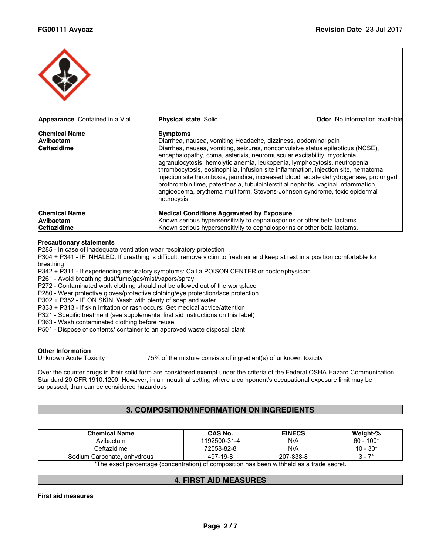| <b>Appearance</b> Contained in a Vial                          | <b>Physical state Solid</b>                                                                                                                                                                                                                                                                                                                                                                                                                                                                                   | <b>Odor</b> No information available                                                                                                                                         |
|----------------------------------------------------------------|---------------------------------------------------------------------------------------------------------------------------------------------------------------------------------------------------------------------------------------------------------------------------------------------------------------------------------------------------------------------------------------------------------------------------------------------------------------------------------------------------------------|------------------------------------------------------------------------------------------------------------------------------------------------------------------------------|
| <b>Chemical Name</b><br>Avibactam<br><b>Ceftazidime</b>        | <b>Symptoms</b><br>Diarrhea, nausea, vomiting Headache, dizziness, abdominal pain<br>Diarrhea, nausea, vomiting, seizures, nonconvulsive status epilepticus (NCSE),<br>encephalopathy, coma, asterixis, neuromuscular excitability, myoclonia,<br>agranulocytosis, hemolytic anemia, leukopenia, lymphocytosis, neutropenia,<br>prothrombin time, patesthesia, tubulointerstitial nephritis, vaginal inflammation,<br>angioedema, erythema multiform, Stevens-Johnson syndrome, toxic epidermal<br>necrocysis | thrombocytosis, eosinophilia, infusion site inflammation, injection site, hematoma,<br>injection site thrombosis, jaundice, increased blood lactate dehydrogenase, prolonged |
| <b>Chemical Name</b><br><b>Avibactam</b><br><b>Ceftazidime</b> | <b>Medical Conditions Aggravated by Exposure</b><br>Known serious hypersensitivity to cephalosporins or other beta lactams.<br>Known serious hypersensitivity to cephalosporins or other beta lactams.                                                                                                                                                                                                                                                                                                        |                                                                                                                                                                              |

 $\_$  ,  $\_$  ,  $\_$  ,  $\_$  ,  $\_$  ,  $\_$  ,  $\_$  ,  $\_$  ,  $\_$  ,  $\_$  ,  $\_$  ,  $\_$  ,  $\_$  ,  $\_$  ,  $\_$  ,  $\_$  ,  $\_$  ,  $\_$  ,  $\_$  ,  $\_$  ,  $\_$  ,  $\_$  ,  $\_$  ,  $\_$  ,  $\_$  ,  $\_$  ,  $\_$  ,  $\_$  ,  $\_$  ,  $\_$  ,  $\_$  ,  $\_$  ,  $\_$  ,  $\_$  ,  $\_$  ,  $\_$  ,  $\_$  ,

#### **Precautionary statements**

P285 - In case of inadequate ventilation wear respiratory protection

P304 + P341 - IF INHALED: If breathing is difficult, remove victim to fresh air and keep at rest in a position comfortable for breathing

P342 + P311 - If experiencing respiratory symptoms: Call a POISON CENTER or doctor/physician

P261 - Avoid breathing dust/fume/gas/mist/vapors/spray

P272 - Contaminated work clothing should not be allowed out of the workplace

P280 - Wear protective gloves/protective clothing/eye protection/face protection

P302 + P352 - IF ON SKIN: Wash with plenty of soap and water

P333 + P313 - If skin irritation or rash occurs: Get medical advice/attention

P321 - Specific treatment (see supplemental first aid instructions on this label)

P363 - Wash contaminated clothing before reuse

P501 - Dispose of contents/ container to an approved waste disposal plant

# **Other Information**<br>Unknown Acute Toxicity

75% of the mixture consists of ingredient(s) of unknown toxicity

Over the counter drugs in their solid form are considered exempt under the criteria of the Federal OSHA Hazard Communication Standard 20 CFR 1910.1200. However, in an industrial setting where a component's occupational exposure limit may be surpassed, than can be considered hazardous

#### **3. COMPOSITION/INFORMATION ON INGREDIENTS**

| 1192500-31-4 | N/A       | $60 - 100*$                                                                                                   |
|--------------|-----------|---------------------------------------------------------------------------------------------------------------|
| 72558-82-8   | N/A       | $10 - 30*$                                                                                                    |
| 497-19-8     | 207-838-8 | 7* - ۍ                                                                                                        |
|              |           | ⊕∓ber and an arrangement of the control of the Control of the Colorado berger of the Colorado of the Colorado |

\*The exact percentage (concentration) of composition has been withheld as a trade secret.

#### **4. FIRST AID MEASURES**

**First aid measures**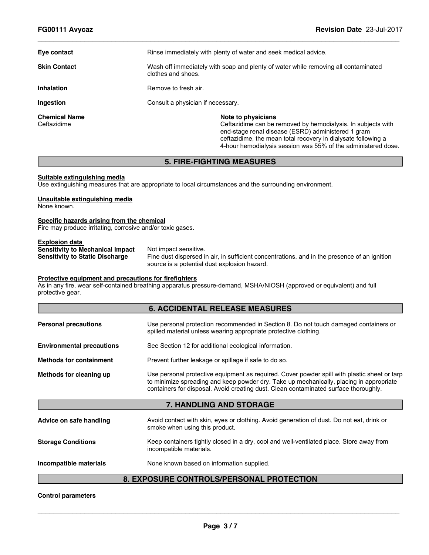| Eye contact                         | Rinse immediately with plenty of water and seek medical advice.                                                                                                                                                                                                            |  |  |
|-------------------------------------|----------------------------------------------------------------------------------------------------------------------------------------------------------------------------------------------------------------------------------------------------------------------------|--|--|
| <b>Skin Contact</b>                 | Wash off immediately with soap and plenty of water while removing all contaminated<br>clothes and shoes.                                                                                                                                                                   |  |  |
| <b>Inhalation</b>                   | Remove to fresh air.                                                                                                                                                                                                                                                       |  |  |
| Ingestion                           | Consult a physician if necessary.                                                                                                                                                                                                                                          |  |  |
| <b>Chemical Name</b><br>Ceftazidime | Note to physicians<br>Ceftazidime can be removed by hemodialysis. In subjects with<br>end-stage renal disease (ESRD) administered 1 gram<br>ceftazidime, the mean total recovery in dialysate following a<br>4-hour hemodialysis session was 55% of the administered dose. |  |  |

 $\_$  ,  $\_$  ,  $\_$  ,  $\_$  ,  $\_$  ,  $\_$  ,  $\_$  ,  $\_$  ,  $\_$  ,  $\_$  ,  $\_$  ,  $\_$  ,  $\_$  ,  $\_$  ,  $\_$  ,  $\_$  ,  $\_$  ,  $\_$  ,  $\_$  ,  $\_$  ,  $\_$  ,  $\_$  ,  $\_$  ,  $\_$  ,  $\_$  ,  $\_$  ,  $\_$  ,  $\_$  ,  $\_$  ,  $\_$  ,  $\_$  ,  $\_$  ,  $\_$  ,  $\_$  ,  $\_$  ,  $\_$  ,  $\_$  ,

### **5. FIRE-FIGHTING MEASURES**

#### **Suitable extinguishing media**

Use extinguishing measures that are appropriate to local circumstances and the surrounding environment.

### **Unsuitable extinguishing media**

None known.

#### **Specific hazards arising from the chemical**

Fire may produce irritating, corrosive and/or toxic gases.

#### **Explosion data**

**Sensitivity to Mechanical Impact** Not impact sensitive.<br>**Sensitivity to Static Discharge** Fine dust dispersed in Fine dust dispersed in air, in sufficient concentrations, and in the presence of an ignition source is a potential dust explosion hazard.

#### **Protective equipment and precautions for firefighters**

As in any fire, wear self-contained breathing apparatus pressure-demand, MSHA/NIOSH (approved or equivalent) and full protective gear.

|                                  | <b>6. ACCIDENTAL RELEASE MEASURES</b>                                                                                                                                                                                                                                           |  |
|----------------------------------|---------------------------------------------------------------------------------------------------------------------------------------------------------------------------------------------------------------------------------------------------------------------------------|--|
| <b>Personal precautions</b>      | Use personal protection recommended in Section 8. Do not touch damaged containers or<br>spilled material unless wearing appropriate protective clothing.                                                                                                                        |  |
| <b>Environmental precautions</b> | See Section 12 for additional ecological information.                                                                                                                                                                                                                           |  |
| <b>Methods for containment</b>   | Prevent further leakage or spillage if safe to do so.                                                                                                                                                                                                                           |  |
| Methods for cleaning up          | Use personal protective equipment as required. Cover powder spill with plastic sheet or tarp<br>to minimize spreading and keep powder dry. Take up mechanically, placing in appropriate<br>containers for disposal. Avoid creating dust. Clean contaminated surface thoroughly. |  |
|                                  | 7. HANDLING AND STORAGE                                                                                                                                                                                                                                                         |  |
| Advice on safe handling          | Avoid contact with skin, eyes or clothing. Avoid generation of dust. Do not eat, drink or<br>smoke when using this product.                                                                                                                                                     |  |
| <b>Storage Conditions</b>        | Keep containers tightly closed in a dry, cool and well-ventilated place. Store away from<br>incompatible materials.                                                                                                                                                             |  |
| Incompatible materials           | None known based on information supplied.                                                                                                                                                                                                                                       |  |
|                                  | . = = <b>. = = - -</b>                                                                                                                                                                                                                                                          |  |

#### **8. EXPOSURE CONTROLS/PERSONAL PROTECTION**

**Control parameters**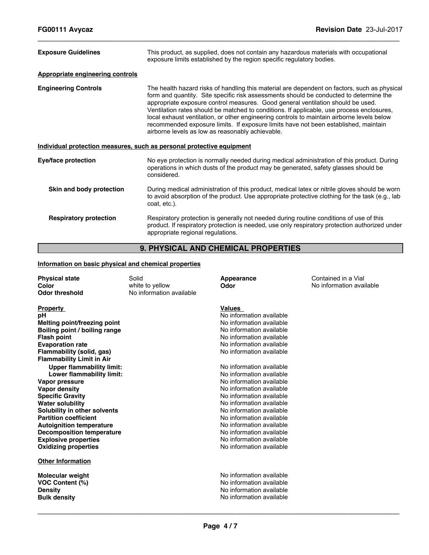| <b>Exposure Guidelines</b>                                            | This product, as supplied, does not contain any hazardous materials with occupational<br>exposure limits established by the region specific regulatory bodies.                                                                                                                                                                                                                                                                                                                                                                                                                                                  |  |
|-----------------------------------------------------------------------|-----------------------------------------------------------------------------------------------------------------------------------------------------------------------------------------------------------------------------------------------------------------------------------------------------------------------------------------------------------------------------------------------------------------------------------------------------------------------------------------------------------------------------------------------------------------------------------------------------------------|--|
| Appropriate engineering controls                                      |                                                                                                                                                                                                                                                                                                                                                                                                                                                                                                                                                                                                                 |  |
| <b>Engineering Controls</b>                                           | The health hazard risks of handling this material are dependent on factors, such as physical<br>form and quantity. Site specific risk assessments should be conducted to determine the<br>appropriate exposure control measures. Good general ventilation should be used.<br>Ventilation rates should be matched to conditions. If applicable, use process enclosures,<br>local exhaust ventilation, or other engineering controls to maintain airborne levels below<br>recommended exposure limits. If exposure limits have not been established, maintain<br>airborne levels as low as reasonably achievable. |  |
| Individual protection measures, such as personal protective equipment |                                                                                                                                                                                                                                                                                                                                                                                                                                                                                                                                                                                                                 |  |
| Eye/face protection                                                   | No eye protection is normally needed during medical administration of this product. During<br>operations in which dusts of the product may be generated, safety glasses should be<br>considered.                                                                                                                                                                                                                                                                                                                                                                                                                |  |
| Skin and body protection                                              | During medical administration of this product, medical latex or nitrile gloves should be worn<br>to avoid absorption of the product. Use appropriate protective clothing for the task (e.g., lab<br>coat, etc.).                                                                                                                                                                                                                                                                                                                                                                                                |  |
| <b>Respiratory protection</b>                                         | Respiratory protection is generally not needed during routine conditions of use of this<br>product. If respiratory protection is needed, use only respiratory protection authorized under<br>appropriate regional regulations.                                                                                                                                                                                                                                                                                                                                                                                  |  |

 $\_$  ,  $\_$  ,  $\_$  ,  $\_$  ,  $\_$  ,  $\_$  ,  $\_$  ,  $\_$  ,  $\_$  ,  $\_$  ,  $\_$  ,  $\_$  ,  $\_$  ,  $\_$  ,  $\_$  ,  $\_$  ,  $\_$  ,  $\_$  ,  $\_$  ,  $\_$  ,  $\_$  ,  $\_$  ,  $\_$  ,  $\_$  ,  $\_$  ,  $\_$  ,  $\_$  ,  $\_$  ,  $\_$  ,  $\_$  ,  $\_$  ,  $\_$  ,  $\_$  ,  $\_$  ,  $\_$  ,  $\_$  ,  $\_$  ,

### **9. PHYSICAL AND CHEMICAL PROPERTIES**

#### **Information on basic physical and chemical properties**

| <b>Physical state</b><br>Color<br><b>Odor threshold</b>                                                                                                                                                                                                                                                                                                                                                                                                               | Solid<br>white to yellow<br>No information available | Appearance<br>Odor                                                                                                                                                                                                                                                                                                                                                                                                                                | Contained in a Vial<br>No information available |
|-----------------------------------------------------------------------------------------------------------------------------------------------------------------------------------------------------------------------------------------------------------------------------------------------------------------------------------------------------------------------------------------------------------------------------------------------------------------------|------------------------------------------------------|---------------------------------------------------------------------------------------------------------------------------------------------------------------------------------------------------------------------------------------------------------------------------------------------------------------------------------------------------------------------------------------------------------------------------------------------------|-------------------------------------------------|
| <b>Property</b><br>рH<br>Melting point/freezing point<br>Boiling point / boiling range<br><b>Flash point</b><br><b>Evaporation rate</b><br>Flammability (solid, gas)<br><b>Flammability Limit in Air</b><br><b>Upper flammability limit:</b><br>Lower flammability limit:<br>Vapor pressure<br>Vapor density<br><b>Specific Gravity</b><br><b>Water solubility</b><br>Solubility in other solvents<br><b>Partition coefficient</b><br><b>Autoignition temperature</b> |                                                      | <b>Values</b><br>No information available<br>No information available<br>No information available<br>No information available<br>No information available<br>No information available<br>No information available<br>No information available<br>No information available<br>No information available<br>No information available<br>No information available<br>No information available<br>No information available<br>No information available |                                                 |
| <b>Decomposition temperature</b><br><b>Explosive properties</b>                                                                                                                                                                                                                                                                                                                                                                                                       |                                                      | No information available<br>No information available<br>No information available                                                                                                                                                                                                                                                                                                                                                                  |                                                 |
| <b>Oxidizing properties</b><br><b>Other Information</b>                                                                                                                                                                                                                                                                                                                                                                                                               |                                                      |                                                                                                                                                                                                                                                                                                                                                                                                                                                   |                                                 |
| <b>Molecular weight</b><br><b>VOC Content (%)</b><br><b>Density</b><br><b>Bulk density</b>                                                                                                                                                                                                                                                                                                                                                                            |                                                      | No information available<br>No information available<br>No information available<br>No information available                                                                                                                                                                                                                                                                                                                                      |                                                 |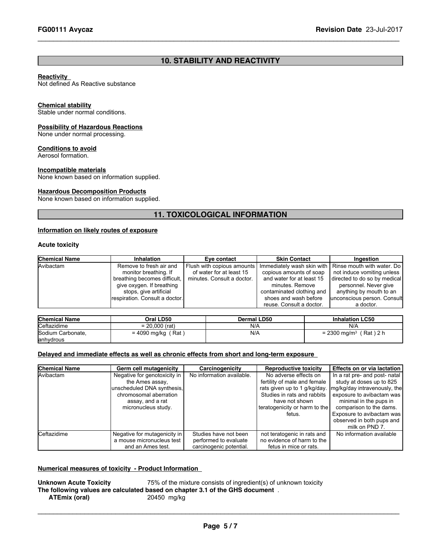### **10. STABILITY AND REACTIVITY**

 $\_$  ,  $\_$  ,  $\_$  ,  $\_$  ,  $\_$  ,  $\_$  ,  $\_$  ,  $\_$  ,  $\_$  ,  $\_$  ,  $\_$  ,  $\_$  ,  $\_$  ,  $\_$  ,  $\_$  ,  $\_$  ,  $\_$  ,  $\_$  ,  $\_$  ,  $\_$  ,  $\_$  ,  $\_$  ,  $\_$  ,  $\_$  ,  $\_$  ,  $\_$  ,  $\_$  ,  $\_$  ,  $\_$  ,  $\_$  ,  $\_$  ,  $\_$  ,  $\_$  ,  $\_$  ,  $\_$  ,  $\_$  ,  $\_$  ,

#### **Reactivity**

Not defined As Reactive substance

#### **Chemical stability**

Stable under normal conditions.

#### **Possibility of Hazardous Reactions**

None under normal processing.

#### **Conditions to avoid**

Aerosol formation.

#### **Incompatible materials**

None known based on information supplied.

#### **Hazardous Decomposition Products**

None known based on information supplied.

### **11. TOXICOLOGICAL INFORMATION**

#### **Information on likely routes of exposure**

#### **Acute toxicity**

| <b>Chemical Name</b> | Inhalation                     | Eve contact                | <b>Skin Contact</b>       | Ingestion                                               |
|----------------------|--------------------------------|----------------------------|---------------------------|---------------------------------------------------------|
| Avibactam            | Remove to fresh air and        | Flush with copious amounts |                           | Immediately wash skin with   Rinse mouth with water. Do |
|                      | monitor breathing. If          | of water for at least 15   | copious amounts of soap   | not induce vomiting unless                              |
|                      | breathing becomes difficult.   | minutes. Consult a doctor. | and water for at least 15 | directed to do so by medical                            |
|                      | give oxygen. If breathing      |                            | minutes. Remove           | personnel. Never give                                   |
|                      | stops, give artificial         |                            | contaminated clothing and | anything by mouth to an                                 |
|                      | respiration. Consult a doctor. |                            | shoes and wash before     | unconscious person. Consult                             |
|                      |                                |                            | reuse. Consult a doctor.  | a doctor.                                               |

| <b>Chemical Name</b> | Oral LD50            | Dermal LD50 | <b>Inhalation LC50</b>                          |
|----------------------|----------------------|-------------|-------------------------------------------------|
| <b>Ceftazidime</b>   | $= 20.000$ (rat)     | N/A         | N/A                                             |
| Sodium Carbonate.    | $= 4090$ mg/kg (Rat) | N/A         | $= 2300$ ma/m <sup>3</sup> (<br>$'$ Rat $)$ 2 h |
| anhydrous            |                      |             |                                                 |

#### **Delayed and immediate effects as well as chronic effects from short and long-term exposure**

| <b>Chemical Name</b> | Germ cell mutagenicity                                                                                                                             | Carcinogenicity                                                           | <b>Reproductive toxicity</b>                                                                                                                                                      | Effects on or via lactation                                                                                                                                                                                                                             |
|----------------------|----------------------------------------------------------------------------------------------------------------------------------------------------|---------------------------------------------------------------------------|-----------------------------------------------------------------------------------------------------------------------------------------------------------------------------------|---------------------------------------------------------------------------------------------------------------------------------------------------------------------------------------------------------------------------------------------------------|
| Avibactam            | Negative for genotoxicity in<br>the Ames assay.<br>unscheduled DNA synthesis,<br>chromosomal aberration<br>assay, and a rat<br>micronucleus study. | No information available.                                                 | No adverse effects on<br>fertility of male and female<br>rats given up to 1 g/kg/day.<br>Studies in rats and rabbits<br>have not shown<br>teratogenicity or harm to the<br>fetus. | In a rat pre- and post- natal<br>study at doses up to 825<br>mg/kg/day intravenously, the<br>exposure to avibactam was<br>minimal in the pups in<br>comparison to the dams.<br>Exposure to avibactam was<br>observed in both pups and<br>milk on PND 7. |
| <b>Ceftazidime</b>   | Negative for mutagenicity in<br>a mouse micronucleus test<br>and an Ames test.                                                                     | Studies have not been<br>performed to evaluate<br>carcinogenic potential. | not teratogenic in rats and<br>no evidence of harm to the<br>fetus in mice or rats.                                                                                               | No information available                                                                                                                                                                                                                                |

#### **Numerical measures of toxicity - Product Information**

**Unknown Acute Toxicity** 75% of the mixture consists of ingredient(s) of unknown toxicity **The following values are calculated based on chapter 3.1 of the GHS document** . **ATEmix** (oral)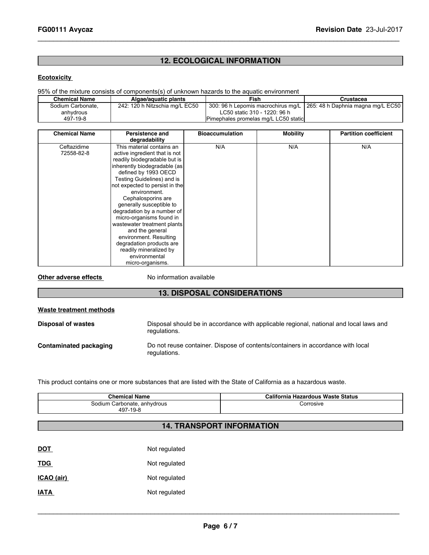### **12. ECOLOGICAL INFORMATION**

 $\_$  ,  $\_$  ,  $\_$  ,  $\_$  ,  $\_$  ,  $\_$  ,  $\_$  ,  $\_$  ,  $\_$  ,  $\_$  ,  $\_$  ,  $\_$  ,  $\_$  ,  $\_$  ,  $\_$  ,  $\_$  ,  $\_$  ,  $\_$  ,  $\_$  ,  $\_$  ,  $\_$  ,  $\_$  ,  $\_$  ,  $\_$  ,  $\_$  ,  $\_$  ,  $\_$  ,  $\_$  ,  $\_$  ,  $\_$  ,  $\_$  ,  $\_$  ,  $\_$  ,  $\_$  ,  $\_$  ,  $\_$  ,  $\_$  ,

#### **Ecotoxicity**

#### 95% of the mixture consists of components(s) of unknown hazards to the aquatic environment

| Chemical Name     | Algae/aquatic plants           | Fish                                   | Crustacea                                                              |
|-------------------|--------------------------------|----------------------------------------|------------------------------------------------------------------------|
| Sodium Carbonate, | 242: 120 h Nitzschia mg/L EC50 |                                        | 300: 96 h Lepomis macrochirus mg/L   265: 48 h Daphnia magna mg/L EC50 |
| anhydrous         |                                | LC50 static 310 - 1220: 96 h           |                                                                        |
| 497-19-8          |                                | IPimephales promelas mg/L LC50 staticl |                                                                        |

| <b>Chemical Name</b> | Persistence and<br>degradability | <b>Bioaccumulation</b> | <b>Mobility</b> | <b>Partition coefficient</b> |
|----------------------|----------------------------------|------------------------|-----------------|------------------------------|
| Ceftazidime          | This material contains an        | N/A                    | N/A             | N/A                          |
| 72558-82-8           | active ingredient that is not    |                        |                 |                              |
|                      | readily biodegradable but is     |                        |                 |                              |
|                      | inherently biodegradable (as     |                        |                 |                              |
|                      | defined by 1993 OECD             |                        |                 |                              |
|                      | Testing Guidelines) and is       |                        |                 |                              |
|                      | not expected to persist in the   |                        |                 |                              |
|                      | environment.                     |                        |                 |                              |
|                      | Cephalosporins are               |                        |                 |                              |
|                      | generally susceptible to         |                        |                 |                              |
|                      | degradation by a number of       |                        |                 |                              |
|                      | micro-organisms found in         |                        |                 |                              |
|                      | wastewater treatment plants      |                        |                 |                              |
|                      | and the general                  |                        |                 |                              |
|                      | environment. Resulting           |                        |                 |                              |
|                      | degradation products are         |                        |                 |                              |
|                      | readily mineralized by           |                        |                 |                              |
|                      | environmental                    |                        |                 |                              |
|                      | micro-organisms.                 |                        |                 |                              |

**Other adverse effects** No information available

### **13. DISPOSAL CONSIDERATIONS**

| Waste treatment methods |                                                                                                        |  |  |
|-------------------------|--------------------------------------------------------------------------------------------------------|--|--|
| Disposal of wastes      | Disposal should be in accordance with applicable regional, national and local laws and<br>regulations. |  |  |
| Contaminated packaging  | Do not reuse container. Dispose of contents/containers in accordance with local<br>regulations.        |  |  |

This product contains one or more substances that are listed with the State of California as a hazardous waste.

| <b>Chemical Name</b>        | California Hazardous Waste Status |
|-----------------------------|-----------------------------------|
| Sodium Carbonate, anhydrous | Corrosive.                        |
| 497-19-8                    |                                   |

### **14. TRANSPORT INFORMATION**

| <b>DOT</b>  | Not regulated |
|-------------|---------------|
| <b>TDG</b>  | Not regulated |
| ICAO (air)  | Not regulated |
| <b>IATA</b> | Not regulated |